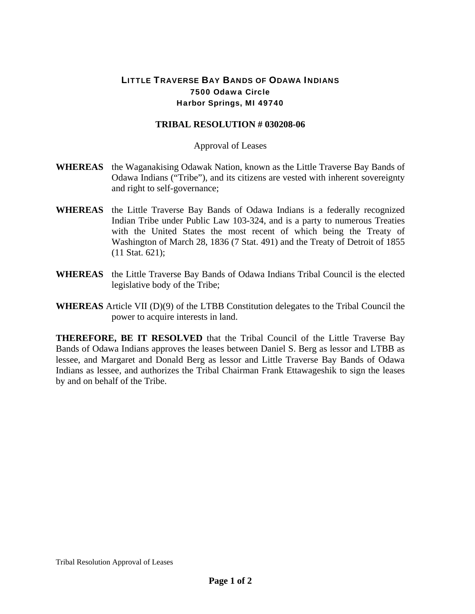## LITTLE TRAVERSE BAY BANDS OF ODAWA INDIANS 7500 Odawa Circle Harbor Springs, MI 49740

## **TRIBAL RESOLUTION # 030208-06**

## Approval of Leases

- **WHEREAS** the Waganakising Odawak Nation, known as the Little Traverse Bay Bands of Odawa Indians ("Tribe"), and its citizens are vested with inherent sovereignty and right to self-governance;
- **WHEREAS** the Little Traverse Bay Bands of Odawa Indians is a federally recognized Indian Tribe under Public Law 103-324, and is a party to numerous Treaties with the United States the most recent of which being the Treaty of Washington of March 28, 1836 (7 Stat. 491) and the Treaty of Detroit of 1855 (11 Stat. 621);
- **WHEREAS** the Little Traverse Bay Bands of Odawa Indians Tribal Council is the elected legislative body of the Tribe;
- **WHEREAS** Article VII (D)(9) of the LTBB Constitution delegates to the Tribal Council the power to acquire interests in land.

**THEREFORE, BE IT RESOLVED** that the Tribal Council of the Little Traverse Bay Bands of Odawa Indians approves the leases between Daniel S. Berg as lessor and LTBB as lessee, and Margaret and Donald Berg as lessor and Little Traverse Bay Bands of Odawa Indians as lessee, and authorizes the Tribal Chairman Frank Ettawageshik to sign the leases by and on behalf of the Tribe.